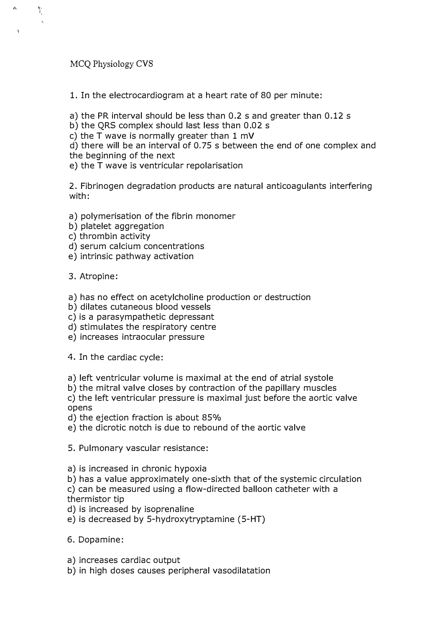MCQ Physiology CVS

 $\leftrightarrow$ 

 $\mathbf{v}$ 

Y.

1. In the electrocardiogram at a heart rate of 80 per minute:

a) the PR interval should be less than 0.2 s and greater than 0.12 s

b) the QRS complex should last less than 0.02 s

c) the T wave is normally greater than 1 mV

d) there will be an interval of 0.75 s between the end of one complex and the beginning of the next

e) the T wave is ventricular repolarisation

2. Fibrinogen degradation products are natural anticoagulants interfering with:

- a) polymerisation of the fibrin monomer
- b) platelet aggregation
- c) thrombin activity
- d) serum calcium concentrations
- e) intrinsic pathway activation

3. Atropine:

- a) has no effect on acetylcholine production or destruction
- b) dilates cutaneous blood vessels
- c) is a parasympathetic depressant
- d) stimulates the respiratory centre
- e) increases intraocular pressure

4. In the cardiac cycle:

- a) left ventricular volume is maximal at the end of atrial systole
- b) the mitral valve closes by contraction of the papillary muscles

c) the left ventricular pressure is maximal just before the aortic valve opens

- d) the ejection fraction is about 85%
- e) the dicrotic notch is due to rebound of the aortic valve

5. Pulmonary vascular resistance:

- a) is increased in chronic hypoxia
- b) has a value approximately one-sixth that of the systemic circulation

c) can be measured using a flow-directed balloon catheter with a thermistor tip

d) is increased by isoprenaline

- e) is decreased by 5-hydroxytryptamine (5-HT)
- 6. Dopamine:
- a) increases cardiac output
- b) in high doses causes peripheral vasodilatation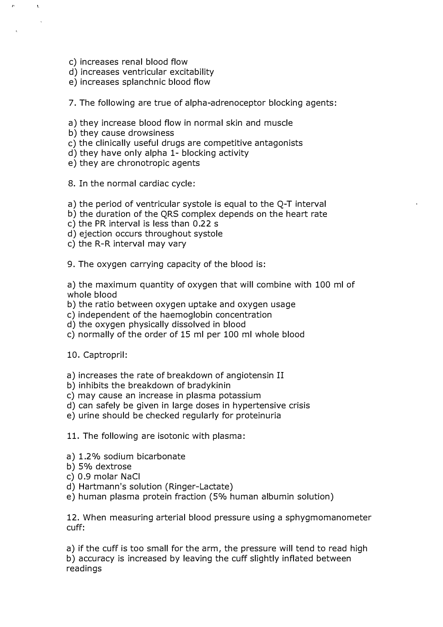c) increases renal blood flow

,.

 $\mathbf{A}$ 

- d) increases ventricular excitability
- e) increases splanchnic blood flow

7. The following are true of alpha-adrenoceptor blocking agents:

- a) they increase blood flow in normal skin and muscle
- b) they cause drowsiness
- c) the clinically useful drugs are competitive antagonists
- d) they have only alpha 1- blocking activity
- e) they are chronotropic agents

8. In the normal cardiac cycle:

- a) the period of ventricular systole is equal to the Q-T interval
- b) the duration of the QRS complex depends on the heart rate
- c) the PR interval is less than 0.22 s
- d) ejection occurs throughout systole
- c) the R-R interval may vary
- 9. The oxygen carrying capacity of the blood is:

a) the maximum quantity of oxygen that will combine with 100 ml of whole blood

- b) the ratio between oxygen uptake and oxygen usage
- c) independent of the haemoglobin concentration
- d) the oxygen physically dissolved in blood
- c) normally of the order of 15 ml per 100 ml whole blood

10. Captropril:

- a) increases the rate of breakdown of angiotensin II
- b) inhibits the breakdown of bradykinin
- c) may cause an increase in plasma potassium
- d) can safely be given in large doses in hypertensive crisis
- e) urine should be checked regularly for proteinuria

11. The following are isotonic with plasma:

- a) 1.2% sodium bicarbonate
- b) 5% dextrose
- c) 0.9 molar NaCi
- d) Hartmann's solution (Ringer-Lactate)
- e) human plasma protein fraction (5% human albumin solution)

12. When measuring arterial blood pressure using a sphygmomanometer cuff:

a) if the cuff is too small for the arm, the pressure will tend to read high b) accuracy is increased by leaving the cuff slightly inflated between readings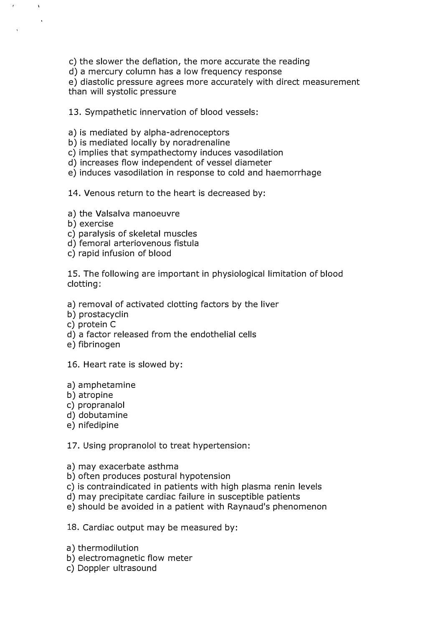c) the slower the deflation, the more accurate the reading

d) a mercury column has a low frequency response

e) diastolic pressure agrees more accurately with direct measurement than will systolic pressure

13. Sympathetic innervation of blood vessels:

- a) is mediated by alpha-adrenoceptors
- b) is mediated locally by noradrenaline
- c) implies that sympathectomy induces vasodilation
- d) increases flow independent of vessel diameter
- e) induces vasodilation in response to cold and haemorrhage
- 14. Venous return to the heart is decreased by:
- a) the Valsalva manoeuvre
- b) exercise

 $\bar{t}$ 

 $\mathcal{A}^{\mathcal{A}}$ 

- c) paralysis of skeletal muscles
- d) femoral arteriovenous fistula
- c) rapid infusion of blood

15. The following are important in physiological limitation of blood clotting:

- a) removal of activated clotting factors by the liver
- b) prostacyclin
- c) protein C
- d) a factor released from the endothelial cells
- e) fibrinogen
- 16. Heart rate is slowed by:
- a) amphetamine
- b) atropine
- c) propranalol
- d) dobutamine
- e) nifedipine

17. Using propranolol to treat hypertension:

- a) may exacerbate asthma
- b) often produces postural hypotension
- c) is contraindicated in patients with high plasma renin levels
- d) may precipitate cardiac failure in susceptible patients
- e) should be avoided in a patient with Raynaud's phenomenon

18. Cardiac output may be measured by:

- a) thermodilution
- b) electromagnetic flow meter
- c) Doppler ultrasound